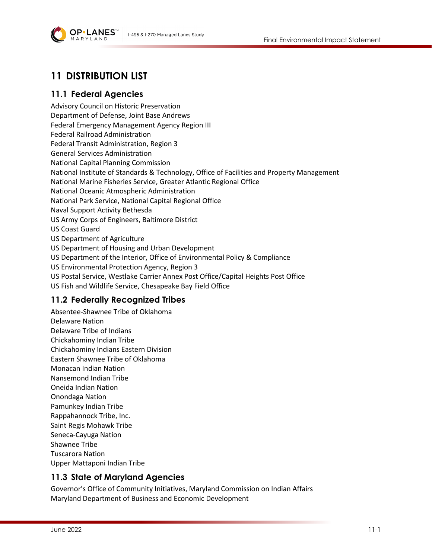

# **11 DISTRIBUTION LIST**

### **11.1 Federal Agencies**

Advisory Council on Historic Preservation Department of Defense, Joint Base Andrews Federal Emergency Management Agency Region III Federal Railroad Administration Federal Transit Administration, Region 3 General Services Administration National Capital Planning Commission National Institute of Standards & Technology, Office of Facilities and Property Management National Marine Fisheries Service, Greater Atlantic Regional Office National Oceanic Atmospheric Administration National Park Service, National Capital Regional Office Naval Support Activity Bethesda US Army Corps of Engineers, Baltimore District US Coast Guard US Department of Agriculture US Department of Housing and Urban Development US Department of the Interior, Office of Environmental Policy & Compliance US Environmental Protection Agency, Region 3 US Postal Service, Westlake Carrier Annex Post Office/Capital Heights Post Office US Fish and Wildlife Service, Chesapeake Bay Field Office

### **11.2 Federally Recognized Tribes**

Absentee-Shawnee Tribe of Oklahoma Delaware Nation Delaware Tribe of Indians Chickahominy Indian Tribe Chickahominy Indians Eastern Division Eastern Shawnee Tribe of Oklahoma Monacan Indian Nation Nansemond Indian Tribe Oneida Indian Nation Onondaga Nation Pamunkey Indian Tribe Rappahannock Tribe, Inc. Saint Regis Mohawk Tribe Seneca-Cayuga Nation Shawnee Tribe Tuscarora Nation Upper Mattaponi Indian Tribe

### **11.3 State of Maryland Agencies**

Governor's Office of Community Initiatives, Maryland Commission on Indian Affairs Maryland Department of Business and Economic Development